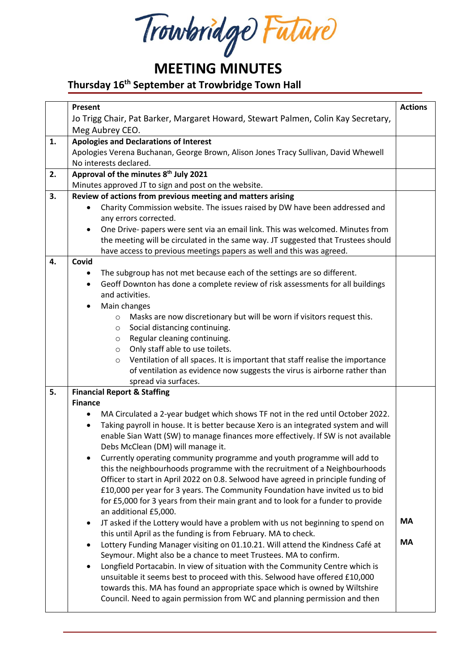Trowbridge Future

## **MEETING MINUTES**

## **Thursday 16th September at Trowbridge Town Hall**

|    | Present                                                                                                                                                          | <b>Actions</b> |  |  |
|----|------------------------------------------------------------------------------------------------------------------------------------------------------------------|----------------|--|--|
|    | Jo Trigg Chair, Pat Barker, Margaret Howard, Stewart Palmen, Colin Kay Secretary,                                                                                |                |  |  |
|    | Meg Aubrey CEO.                                                                                                                                                  |                |  |  |
| 1. | <b>Apologies and Declarations of Interest</b>                                                                                                                    |                |  |  |
|    | Apologies Verena Buchanan, George Brown, Alison Jones Tracy Sullivan, David Whewell<br>No interests declared.                                                    |                |  |  |
|    |                                                                                                                                                                  |                |  |  |
| 2. | Approval of the minutes 8 <sup>th</sup> July 2021                                                                                                                |                |  |  |
|    | Minutes approved JT to sign and post on the website.                                                                                                             |                |  |  |
| 3. | Review of actions from previous meeting and matters arising                                                                                                      |                |  |  |
|    | Charity Commission website. The issues raised by DW have been addressed and<br>$\bullet$                                                                         |                |  |  |
|    | any errors corrected.                                                                                                                                            |                |  |  |
|    | One Drive- papers were sent via an email link. This was welcomed. Minutes from<br>$\bullet$                                                                      |                |  |  |
|    | the meeting will be circulated in the same way. JT suggested that Trustees should                                                                                |                |  |  |
|    | have access to previous meetings papers as well and this was agreed.                                                                                             |                |  |  |
| 4. | Covid                                                                                                                                                            |                |  |  |
|    | The subgroup has not met because each of the settings are so different.<br>٠                                                                                     |                |  |  |
|    | Geoff Downton has done a complete review of risk assessments for all buildings<br>$\bullet$                                                                      |                |  |  |
|    | and activities.                                                                                                                                                  |                |  |  |
|    | Main changes                                                                                                                                                     |                |  |  |
|    | Masks are now discretionary but will be worn if visitors request this.<br>$\circ$                                                                                |                |  |  |
|    | Social distancing continuing.<br>$\circ$                                                                                                                         |                |  |  |
|    | Regular cleaning continuing.<br>O                                                                                                                                |                |  |  |
|    | Only staff able to use toilets.<br>$\circ$                                                                                                                       |                |  |  |
|    | Ventilation of all spaces. It is important that staff realise the importance<br>$\circ$                                                                          |                |  |  |
|    | of ventilation as evidence now suggests the virus is airborne rather than                                                                                        |                |  |  |
| 5. | spread via surfaces.                                                                                                                                             |                |  |  |
|    | <b>Financial Report &amp; Staffing</b><br><b>Finance</b>                                                                                                         |                |  |  |
|    | MA Circulated a 2-year budget which shows TF not in the red until October 2022.<br>$\bullet$                                                                     |                |  |  |
|    | Taking payroll in house. It is better because Xero is an integrated system and will<br>$\bullet$                                                                 |                |  |  |
|    | enable Sian Watt (SW) to manage finances more effectively. If SW is not available                                                                                |                |  |  |
|    | Debs McClean (DM) will manage it.                                                                                                                                |                |  |  |
|    | Currently operating community programme and youth programme will add to                                                                                          |                |  |  |
|    | this the neighbourhoods programme with the recruitment of a Neighbourhoods<br>Officer to start in April 2022 on 0.8. Selwood have agreed in principle funding of |                |  |  |
|    |                                                                                                                                                                  |                |  |  |
|    | £10,000 per year for 3 years. The Community Foundation have invited us to bid                                                                                    |                |  |  |
|    | for £5,000 for 3 years from their main grant and to look for a funder to provide                                                                                 |                |  |  |
|    | an additional £5,000.                                                                                                                                            |                |  |  |
|    | JT asked if the Lottery would have a problem with us not beginning to spend on<br>$\bullet$                                                                      | <b>MA</b>      |  |  |
|    | this until April as the funding is from February. MA to check.                                                                                                   |                |  |  |
|    | Lottery Funding Manager visiting on 01.10.21. Will attend the Kindness Café at<br>$\bullet$                                                                      | <b>MA</b>      |  |  |
|    | Seymour. Might also be a chance to meet Trustees. MA to confirm.                                                                                                 |                |  |  |
|    | Longfield Portacabin. In view of situation with the Community Centre which is<br>$\bullet$                                                                       |                |  |  |
|    | unsuitable it seems best to proceed with this. Selwood have offered £10,000                                                                                      |                |  |  |
|    | towards this. MA has found an appropriate space which is owned by Wiltshire                                                                                      |                |  |  |
|    | Council. Need to again permission from WC and planning permission and then                                                                                       |                |  |  |
|    |                                                                                                                                                                  |                |  |  |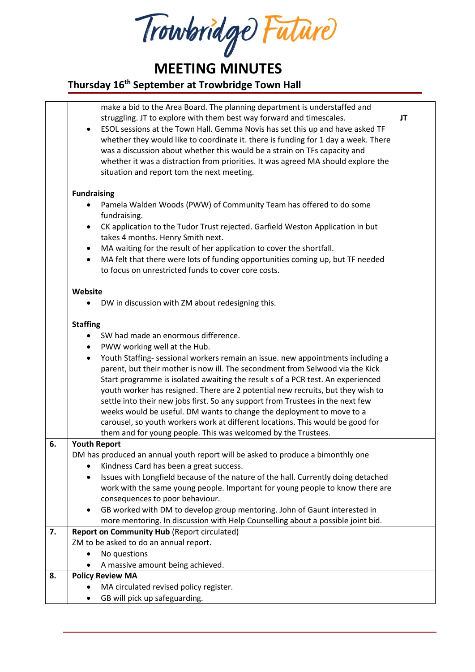Trowbridge Future

**MEETING MINUTES**

## **Thursday 16th September at Trowbridge Town Hall**

|    | make a bid to the Area Board. The planning department is understaffed and<br>struggling. JT to explore with them best way forward and timescales.<br>ESOL sessions at the Town Hall. Gemma Novis has set this up and have asked TF<br>whether they would like to coordinate it. there is funding for 1 day a week. There<br>was a discussion about whether this would be a strain on TFs capacity and<br>whether it was a distraction from priorities. It was agreed MA should explore the<br>situation and report tom the next meeting. | JT |  |  |
|----|------------------------------------------------------------------------------------------------------------------------------------------------------------------------------------------------------------------------------------------------------------------------------------------------------------------------------------------------------------------------------------------------------------------------------------------------------------------------------------------------------------------------------------------|----|--|--|
|    | <b>Fundraising</b>                                                                                                                                                                                                                                                                                                                                                                                                                                                                                                                       |    |  |  |
|    |                                                                                                                                                                                                                                                                                                                                                                                                                                                                                                                                          |    |  |  |
|    | Pamela Walden Woods (PWW) of Community Team has offered to do some<br>fundraising.                                                                                                                                                                                                                                                                                                                                                                                                                                                       |    |  |  |
|    | CK application to the Tudor Trust rejected. Garfield Weston Application in but                                                                                                                                                                                                                                                                                                                                                                                                                                                           |    |  |  |
|    | takes 4 months. Henry Smith next.                                                                                                                                                                                                                                                                                                                                                                                                                                                                                                        |    |  |  |
|    | MA waiting for the result of her application to cover the shortfall.<br>$\bullet$                                                                                                                                                                                                                                                                                                                                                                                                                                                        |    |  |  |
|    | MA felt that there were lots of funding opportunities coming up, but TF needed<br>$\bullet$<br>to focus on unrestricted funds to cover core costs.                                                                                                                                                                                                                                                                                                                                                                                       |    |  |  |
|    | Website                                                                                                                                                                                                                                                                                                                                                                                                                                                                                                                                  |    |  |  |
|    | DW in discussion with ZM about redesigning this.                                                                                                                                                                                                                                                                                                                                                                                                                                                                                         |    |  |  |
|    | <b>Staffing</b>                                                                                                                                                                                                                                                                                                                                                                                                                                                                                                                          |    |  |  |
|    | SW had made an enormous difference.<br>$\bullet$                                                                                                                                                                                                                                                                                                                                                                                                                                                                                         |    |  |  |
|    | PWW working well at the Hub.<br>٠                                                                                                                                                                                                                                                                                                                                                                                                                                                                                                        |    |  |  |
|    | Youth Staffing- sessional workers remain an issue. new appointments including a<br>٠                                                                                                                                                                                                                                                                                                                                                                                                                                                     |    |  |  |
|    | parent, but their mother is now ill. The secondment from Selwood via the Kick                                                                                                                                                                                                                                                                                                                                                                                                                                                            |    |  |  |
|    | Start programme is isolated awaiting the result s of a PCR test. An experienced                                                                                                                                                                                                                                                                                                                                                                                                                                                          |    |  |  |
|    | youth worker has resigned. There are 2 potential new recruits, but they wish to                                                                                                                                                                                                                                                                                                                                                                                                                                                          |    |  |  |
|    | settle into their new jobs first. So any support from Trustees in the next few                                                                                                                                                                                                                                                                                                                                                                                                                                                           |    |  |  |
|    | weeks would be useful. DM wants to change the deployment to move to a                                                                                                                                                                                                                                                                                                                                                                                                                                                                    |    |  |  |
|    | carousel, so youth workers work at different locations. This would be good for                                                                                                                                                                                                                                                                                                                                                                                                                                                           |    |  |  |
| 6. | them and for young people. This was welcomed by the Trustees.                                                                                                                                                                                                                                                                                                                                                                                                                                                                            |    |  |  |
|    | <b>Youth Report</b>                                                                                                                                                                                                                                                                                                                                                                                                                                                                                                                      |    |  |  |
|    | DM has produced an annual youth report will be asked to produce a bimonthly one<br>Kindness Card has been a great success.                                                                                                                                                                                                                                                                                                                                                                                                               |    |  |  |
|    | Issues with Longfield because of the nature of the hall. Currently doing detached                                                                                                                                                                                                                                                                                                                                                                                                                                                        |    |  |  |
|    | work with the same young people. Important for young people to know there are                                                                                                                                                                                                                                                                                                                                                                                                                                                            |    |  |  |
|    | consequences to poor behaviour.                                                                                                                                                                                                                                                                                                                                                                                                                                                                                                          |    |  |  |
|    | GB worked with DM to develop group mentoring. John of Gaunt interested in                                                                                                                                                                                                                                                                                                                                                                                                                                                                |    |  |  |
|    | more mentoring. In discussion with Help Counselling about a possible joint bid.                                                                                                                                                                                                                                                                                                                                                                                                                                                          |    |  |  |
| 7. | <b>Report on Community Hub (Report circulated)</b><br>ZM to be asked to do an annual report.                                                                                                                                                                                                                                                                                                                                                                                                                                             |    |  |  |
|    |                                                                                                                                                                                                                                                                                                                                                                                                                                                                                                                                          |    |  |  |
|    | No questions                                                                                                                                                                                                                                                                                                                                                                                                                                                                                                                             |    |  |  |
|    | A massive amount being achieved.                                                                                                                                                                                                                                                                                                                                                                                                                                                                                                         |    |  |  |
| 8. | <b>Policy Review MA</b>                                                                                                                                                                                                                                                                                                                                                                                                                                                                                                                  |    |  |  |
|    | MA circulated revised policy register.                                                                                                                                                                                                                                                                                                                                                                                                                                                                                                   |    |  |  |
|    | GB will pick up safeguarding.                                                                                                                                                                                                                                                                                                                                                                                                                                                                                                            |    |  |  |